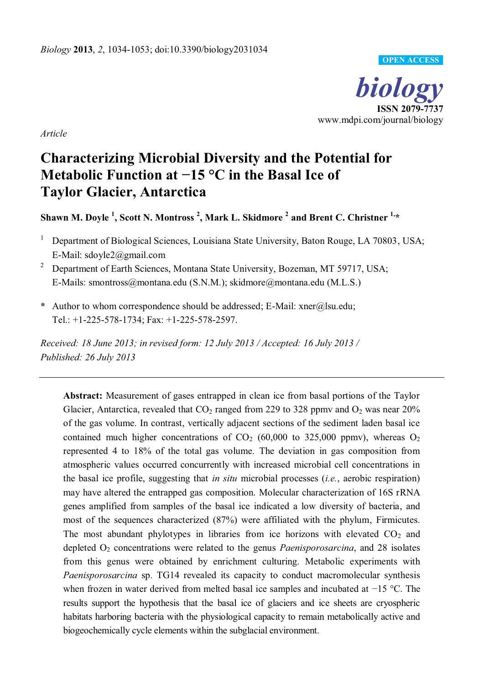

*Article* 

# **Characterizing Microbial Diversity and the Potential for Metabolic Function at**  $-15$  **°C in the Basal Ice of Taylor Glacier, Antarctica**

**Shawn M. Doyle <sup>1</sup> , Scott N. Montross <sup>2</sup> , Mark L. Skidmore <sup>2</sup> and Brent C. Christner 1,\***

- 1 Department of Biological Sciences, Louisiana State University, Baton Rouge, LA 70803, USA; E-Mail: sdoyle2@gmail.com
- <sup>2</sup> Department of Earth Sciences, Montana State University, Bozeman, MT 59717, USA; E-Mails: smontross@montana.edu (S.N.M.); skidmore@montana.edu (M.L.S.)
- **\*** Author to whom correspondence should be addressed; E-Mail: xner@lsu.edu; Tel.: +1-225-578-1734; Fax: +1-225-578-2597.

*Received: 18 June 2013; in revised form: 12 July 2013 / Accepted: 16 July 2013 / Published: 26 July 2013* 

**Abstract:** Measurement of gases entrapped in clean ice from basal portions of the Taylor Glacier, Antarctica, revealed that  $CO_2$  ranged from 229 to 328 ppmv and  $O_2$  was near 20% of the gas volume. In contrast, vertically adjacent sections of the sediment laden basal ice contained much higher concentrations of  $CO<sub>2</sub>$  (60,000 to 325,000 ppmv), whereas  $O<sub>2</sub>$ represented 4 to 18% of the total gas volume. The deviation in gas composition from atmospheric values occurred concurrently with increased microbial cell concentrations in the basal ice profile, suggesting that *in situ* microbial processes (*i.e.*, aerobic respiration) may have altered the entrapped gas composition. Molecular characterization of 16S rRNA genes amplified from samples of the basal ice indicated a low diversity of bacteria, and most of the sequences characterized (87%) were affiliated with the phylum, Firmicutes. The most abundant phylotypes in libraries from ice horizons with elevated  $CO<sub>2</sub>$  and depleted O2 concentrations were related to the genus *Paenisporosarcina*, and 28 isolates from this genus were obtained by enrichment culturing. Metabolic experiments with *Paenisporosarcina* sp. TG14 revealed its capacity to conduct macromolecular synthesis when frozen in water derived from melted basal ice samples and incubated at  $-15$  °C. The results support the hypothesis that the basal ice of glaciers and ice sheets are cryospheric habitats harboring bacteria with the physiological capacity to remain metabolically active and biogeochemically cycle elements within the subglacial environment.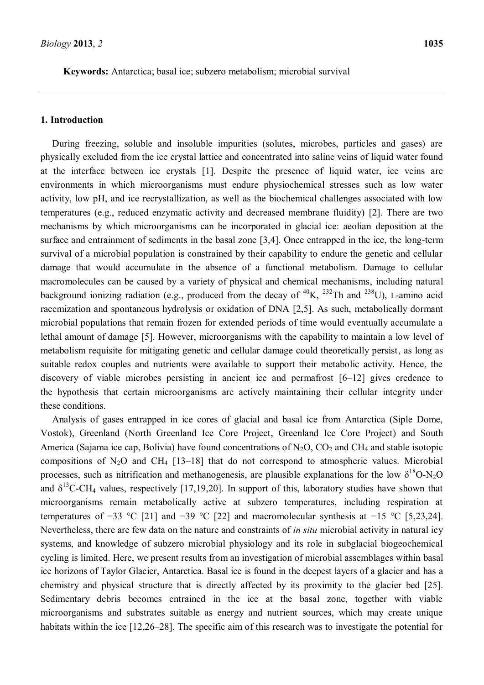**Keywords:** Antarctica; basal ice; subzero metabolism; microbial survival

## **1. Introduction**

During freezing, soluble and insoluble impurities (solutes, microbes, particles and gases) are physically excluded from the ice crystal lattice and concentrated into saline veins of liquid water found at the interface between ice crystals [1]. Despite the presence of liquid water, ice veins are environments in which microorganisms must endure physiochemical stresses such as low water activity, low pH, and ice recrystallization, as well as the biochemical challenges associated with low temperatures (e.g., reduced enzymatic activity and decreased membrane fluidity) [2]. There are two mechanisms by which microorganisms can be incorporated in glacial ice: aeolian deposition at the surface and entrainment of sediments in the basal zone [3,4]. Once entrapped in the ice, the long-term survival of a microbial population is constrained by their capability to endure the genetic and cellular damage that would accumulate in the absence of a functional metabolism. Damage to cellular macromolecules can be caused by a variety of physical and chemical mechanisms, including natural background ionizing radiation (e.g., produced from the decay of  ${}^{40}K$ ,  ${}^{232}Th$  and  ${}^{238}U$ ), L-amino acid racemization and spontaneous hydrolysis or oxidation of DNA [2,5]. As such, metabolically dormant microbial populations that remain frozen for extended periods of time would eventually accumulate a lethal amount of damage [5]. However, microorganisms with the capability to maintain a low level of metabolism requisite for mitigating genetic and cellular damage could theoretically persist, as long as suitable redox couples and nutrients were available to support their metabolic activity. Hence, the discovery of viable microbes persisting in ancient ice and permafrost  $[6-12]$  gives credence to the hypothesis that certain microorganisms are actively maintaining their cellular integrity under these conditions.

Analysis of gases entrapped in ice cores of glacial and basal ice from Antarctica (Siple Dome, Vostok), Greenland (North Greenland Ice Core Project, Greenland Ice Core Project) and South America (Sajama ice cap, Bolivia) have found concentrations of  $N_2O$ ,  $CO_2$  and  $CH_4$  and stable isotopic compositions of N<sub>2</sub>O and CH<sub>4</sub> [13–18] that do not correspond to atmospheric values. Microbial processes, such as nitrification and methanogenesis, are plausible explanations for the low  $\delta^{18}O-N_2O$ and  $\delta^{13}$ C-CH<sub>4</sub> values, respectively [17,19,20]. In support of this, laboratory studies have shown that microorganisms remain metabolically active at subzero temperatures, including respiration at temperatures of -33 °C [21] and -39 °C [22] and macromolecular synthesis at -15 °C [5,23,24]. Nevertheless, there are few data on the nature and constraints of *in situ* microbial activity in natural icy systems, and knowledge of subzero microbial physiology and its role in subglacial biogeochemical cycling is limited. Here, we present results from an investigation of microbial assemblages within basal ice horizons of Taylor Glacier, Antarctica. Basal ice is found in the deepest layers of a glacier and has a chemistry and physical structure that is directly affected by its proximity to the glacier bed [25]. Sedimentary debris becomes entrained in the ice at the basal zone, together with viable microorganisms and substrates suitable as energy and nutrient sources, which may create unique habitats within the ice  $[12,26-28]$ . The specific aim of this research was to investigate the potential for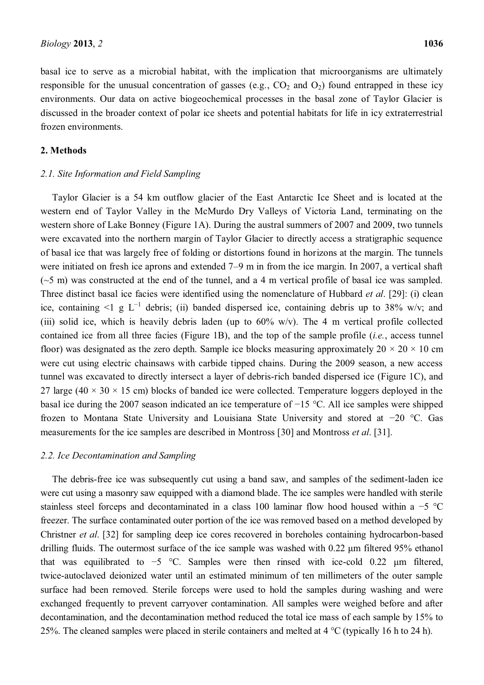basal ice to serve as a microbial habitat, with the implication that microorganisms are ultimately responsible for the unusual concentration of gasses (e.g.,  $CO_2$  and  $O_2$ ) found entrapped in these icy environments. Our data on active biogeochemical processes in the basal zone of Taylor Glacier is discussed in the broader context of polar ice sheets and potential habitats for life in icy extraterrestrial frozen environments.

#### **2. Methods**

#### *2.1. Site Information and Field Sampling*

Taylor Glacier is a 54 km outflow glacier of the East Antarctic Ice Sheet and is located at the western end of Taylor Valley in the McMurdo Dry Valleys of Victoria Land, terminating on the western shore of Lake Bonney (Figure 1A). During the austral summers of 2007 and 2009, two tunnels were excavated into the northern margin of Taylor Glacier to directly access a stratigraphic sequence of basal ice that was largely free of folding or distortions found in horizons at the margin. The tunnels were initiated on fresh ice aprons and extended  $7-9$  m in from the ice margin. In 2007, a vertical shaft  $(\sim 5 \text{ m})$  was constructed at the end of the tunnel, and a 4 m vertical profile of basal ice was sampled. Three distinct basal ice facies were identified using the nomenclature of Hubbard *et al*. [29]: (i) clean ice, containing  $\leq 1$  g L<sup>-1</sup> debris; (ii) banded dispersed ice, containing debris up to 38% w/v; and (iii) solid ice, which is heavily debris laden (up to  $60\%$  w/v). The 4 m vertical profile collected contained ice from all three facies (Figure 1B), and the top of the sample profile (*i.e.*, access tunnel floor) was designated as the zero depth. Sample ice blocks measuring approximately  $20 \times 20 \times 10$  cm were cut using electric chainsaws with carbide tipped chains. During the 2009 season, a new access tunnel was excavated to directly intersect a layer of debris-rich banded dispersed ice (Figure 1C), and 27 large (40  $\times$  30  $\times$  15 cm) blocks of banded ice were collected. Temperature loggers deployed in the basal ice during the 2007 season indicated an ice temperature of  $-15$  °C. All ice samples were shipped frozen to Montana State University and Louisiana State University and stored at  $-20$  °C. Gas measurements for the ice samples are described in Montross [30] and Montross *et al*. [31].

#### *2.2. Ice Decontamination and Sampling*

The debris-free ice was subsequently cut using a band saw, and samples of the sediment-laden ice were cut using a masonry saw equipped with a diamond blade. The ice samples were handled with sterile stainless steel forceps and decontaminated in a class 100 laminar flow hood housed within a  $-5$  °C freezer. The surface contaminated outer portion of the ice was removed based on a method developed by Christner *et al*. [32] for sampling deep ice cores recovered in boreholes containing hydrocarbon-based drilling fluids. The outermost surface of the ice sample was washed with  $0.22 \mu m$  filtered 95% ethanol that was equilibrated to  $-5$  °C. Samples were then rinsed with ice-cold 0.22  $\mu$ m filtered, twice-autoclaved deionized water until an estimated minimum of ten millimeters of the outer sample surface had been removed. Sterile forceps were used to hold the samples during washing and were exchanged frequently to prevent carryover contamination. All samples were weighed before and after decontamination, and the decontamination method reduced the total ice mass of each sample by 15% to 25%. The cleaned samples were placed in sterile containers and melted at  $4 \degree C$  (typically 16 h to 24 h).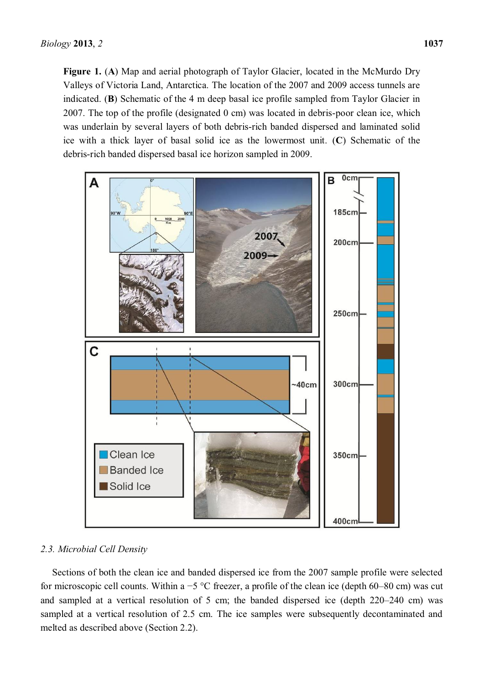**Figure 1.** (**A**) Map and aerial photograph of Taylor Glacier, located in the McMurdo Dry Valleys of Victoria Land, Antarctica. The location of the 2007 and 2009 access tunnels are indicated. (**B**) Schematic of the 4 m deep basal ice profile sampled from Taylor Glacier in 2007. The top of the profile (designated 0 cm) was located in debris-poor clean ice, which was underlain by several layers of both debris-rich banded dispersed and laminated solid ice with a thick layer of basal solid ice as the lowermost unit. (**C**) Schematic of the debris-rich banded dispersed basal ice horizon sampled in 2009.



### *2.3. Microbial Cell Density*

Sections of both the clean ice and banded dispersed ice from the 2007 sample profile were selected for microscopic cell counts. Within a -5 °C freezer, a profile of the clean ice (depth 60–80 cm) was cut and sampled at a vertical resolution of 5 cm; the banded dispersed ice (depth  $220-240$  cm) was sampled at a vertical resolution of 2.5 cm. The ice samples were subsequently decontaminated and melted as described above (Section 2.2).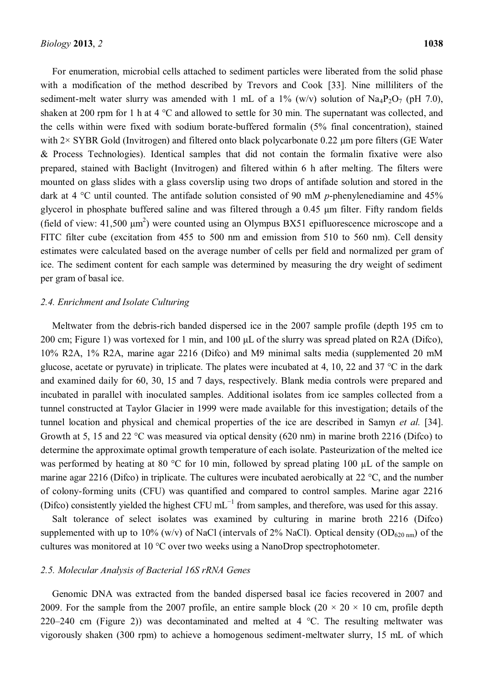For enumeration, microbial cells attached to sediment particles were liberated from the solid phase with a modification of the method described by Trevors and Cook [33]. Nine milliliters of the sediment-melt water slurry was amended with 1 mL of a 1% (w/v) solution of  $\text{Na}_4\text{P}_2\text{O}_7$  (pH 7.0), shaken at 200 rpm for 1 h at 4 °C and allowed to settle for 30 min. The supernatant was collected, and the cells within were fixed with sodium borate-buffered formalin (5% final concentration), stained with  $2 \times$  SYBR Gold (Invitrogen) and filtered onto black polycarbonate 0.22  $\mu$ m pore filters (GE Water & Process Technologies). Identical samples that did not contain the formalin fixative were also prepared, stained with Baclight (Invitrogen) and filtered within 6 h after melting. The filters were mounted on glass slides with a glass coverslip using two drops of antifade solution and stored in the dark at 4 °C until counted. The antifade solution consisted of 90 mM *p*-phenylenediamine and 45% glycerol in phosphate buffered saline and was filtered through a  $0.45 \mu m$  filter. Fifty random fields (field of view:  $41,500 \text{ }\mu\text{m}^2$ ) were counted using an Olympus BX51 epifluorescence microscope and a FITC filter cube (excitation from 455 to 500 nm and emission from 510 to 560 nm). Cell density estimates were calculated based on the average number of cells per field and normalized per gram of ice. The sediment content for each sample was determined by measuring the dry weight of sediment per gram of basal ice.

### *2.4. Enrichment and Isolate Culturing*

Meltwater from the debris-rich banded dispersed ice in the 2007 sample profile (depth 195 cm to 200 cm; Figure 1) was vortexed for 1 min, and 100  $\mu$ L of the slurry was spread plated on R2A (Difco), 10% R2A, 1% R2A, marine agar 2216 (Difco) and M9 minimal salts media (supplemented 20 mM glucose, acetate or pyruvate) in triplicate. The plates were incubated at 4, 10, 22 and 37  $^{\circ}$ C in the dark and examined daily for 60, 30, 15 and 7 days, respectively. Blank media controls were prepared and incubated in parallel with inoculated samples. Additional isolates from ice samples collected from a tunnel constructed at Taylor Glacier in 1999 were made available for this investigation; details of the tunnel location and physical and chemical properties of the ice are described in Samyn *et al.* [34]. Growth at 5, 15 and 22 °C was measured via optical density (620 nm) in marine broth 2216 (Difco) to determine the approximate optimal growth temperature of each isolate. Pasteurization of the melted ice was performed by heating at 80 °C for 10 min, followed by spread plating 100 µL of the sample on marine agar 2216 (Difco) in triplicate. The cultures were incubated aerobically at 22 °C, and the number of colony-forming units (CFU) was quantified and compared to control samples. Marine agar 2216 (Difco) consistently yielded the highest CFU  $mL^{-1}$  from samples, and therefore, was used for this assay.

Salt tolerance of select isolates was examined by culturing in marine broth 2216 (Difco) supplemented with up to 10% (w/v) of NaCl (intervals of 2% NaCl). Optical density (OD<sub>620 nm</sub>) of the cultures was monitored at 10 °C over two weeks using a NanoDrop spectrophotometer.

#### *2.5. Molecular Analysis of Bacterial 16S rRNA Genes*

Genomic DNA was extracted from the banded dispersed basal ice facies recovered in 2007 and 2009. For the sample from the 2007 profile, an entire sample block  $(20 \times 20 \times 10 \text{ cm})$ , profile depth 220 $-240$  cm (Figure 2)) was decontaminated and melted at 4 °C. The resulting meltwater was vigorously shaken (300 rpm) to achieve a homogenous sediment-meltwater slurry, 15 mL of which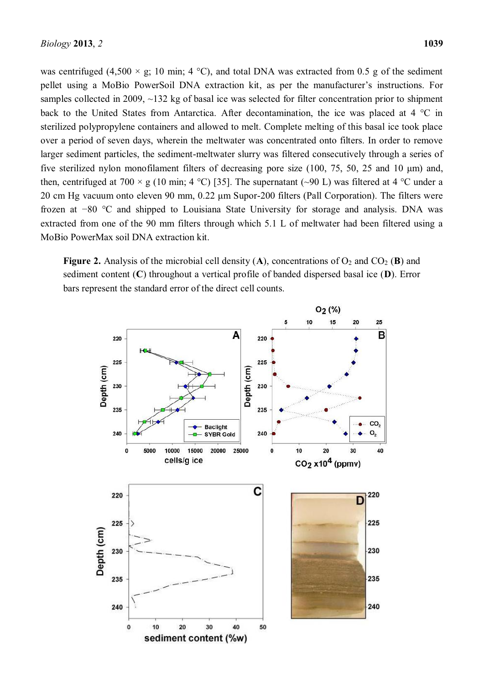was centrifuged (4,500  $\times$  g; 10 min; 4 °C), and total DNA was extracted from 0.5 g of the sediment pellet using a MoBio PowerSoil DNA extraction kit, as per the manufacturer's instructions. For samples collected in 2009, ~132 kg of basal ice was selected for filter concentration prior to shipment back to the United States from Antarctica. After decontamination, the ice was placed at 4 °C in sterilized polypropylene containers and allowed to melt. Complete melting of this basal ice took place over a period of seven days, wherein the meltwater was concentrated onto filters. In order to remove larger sediment particles, the sediment-meltwater slurry was filtered consecutively through a series of five sterilized nylon monofilament filters of decreasing pore size  $(100, 75, 50, 25, 25, 10, \mu m)$  and, then, centrifuged at 700  $\times$  g (10 min; 4 °C) [35]. The supernatant (~90 L) was filtered at 4 °C under a 20 cm Hg vacuum onto eleven 90 mm,  $0.22 \mu$ m Supor-200 filters (Pall Corporation). The filters were frozen at  $-80$  °C and shipped to Louisiana State University for storage and analysis. DNA was extracted from one of the 90 mm filters through which 5.1 L of meltwater had been filtered using a MoBio PowerMax soil DNA extraction kit.

**Figure 2.** Analysis of the microbial cell density  $(A)$ , concentrations of  $O_2$  and  $CO_2$  (**B**) and sediment content (**C**) throughout a vertical profile of banded dispersed basal ice (**D**). Error bars represent the standard error of the direct cell counts.

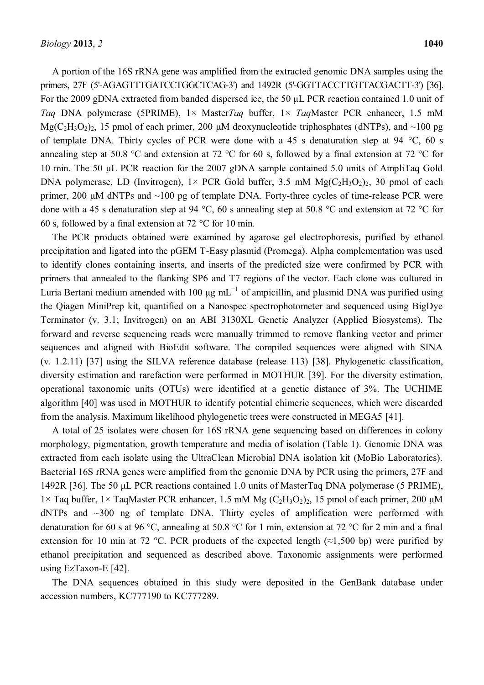A portion of the 16S rRNA gene was amplified from the extracted genomic DNA samples using the primers, 27F (5'-AGAGTTTGATCCTGGCTCAG-3') and 1492R (5'-GGTTACCTTGTTACGACTT-3') [36]. For the 2009 gDNA extracted from banded dispersed ice, the 50  $\mu$ L PCR reaction contained 1.0 unit of *Taq* DNA polymerase (5PRIME), 1× Master*Taq* buffer, 1× *Taq*Master PCR enhancer, 1.5 mM  $Mg(C_2H_3O_2)_2$ , 15 pmol of each primer, 200 µM deoxynucleotide triphosphates (dNTPs), and ~100 pg of template DNA. Thirty cycles of PCR were done with a 45 s denaturation step at 94  $\degree$ C, 60 s annealing step at 50.8 °C and extension at 72 °C for 60 s, followed by a final extension at 72 °C for 10 min. The 50 µL PCR reaction for the 2007 gDNA sample contained 5.0 units of AmpliTag Gold DNA polymerase, LD (Invitrogen),  $1 \times$  PCR Gold buffer, 3.5 mM  $Mg(C_2H_3O_2)_2$ , 30 pmol of each primer, 200  $\mu$ M dNTPs and  $\sim$ 100 pg of template DNA. Forty-three cycles of time-release PCR were done with a 45 s denaturation step at 94 °C, 60 s annealing step at 50.8 °C and extension at 72 °C for 60 s, followed by a final extension at 72 °C for 10 min.

The PCR products obtained were examined by agarose gel electrophoresis, purified by ethanol precipitation and ligated into the pGEM T-Easy plasmid (Promega). Alpha complementation was used to identify clones containing inserts, and inserts of the predicted size were confirmed by PCR with primers that annealed to the flanking SP6 and T7 regions of the vector. Each clone was cultured in Luria Bertani medium amended with 100  $\mu$ g mL<sup>-1</sup> of ampicillin, and plasmid DNA was purified using the Qiagen MiniPrep kit, quantified on a Nanospec spectrophotometer and sequenced using BigDye Terminator (v. 3.1; Invitrogen) on an ABI 3130XL Genetic Analyzer (Applied Biosystems). The forward and reverse sequencing reads were manually trimmed to remove flanking vector and primer sequences and aligned with BioEdit software. The compiled sequences were aligned with SINA (v. 1.2.11) [37] using the SILVA reference database (release 113) [38]. Phylogenetic classification, diversity estimation and rarefaction were performed in MOTHUR [39]. For the diversity estimation, operational taxonomic units (OTUs) were identified at a genetic distance of 3%. The UCHIME algorithm [40] was used in MOTHUR to identify potential chimeric sequences, which were discarded from the analysis. Maximum likelihood phylogenetic trees were constructed in MEGA5 [41].

A total of 25 isolates were chosen for 16S rRNA gene sequencing based on differences in colony morphology, pigmentation, growth temperature and media of isolation (Table 1). Genomic DNA was extracted from each isolate using the UltraClean Microbial DNA isolation kit (MoBio Laboratories). Bacterial 16S rRNA genes were amplified from the genomic DNA by PCR using the primers, 27F and 1492R [36]. The 50 µL PCR reactions contained 1.0 units of MasterTag DNA polymerase (5 PRIME), 1× Taq buffer, 1× TaqMaster PCR enhancer, 1.5 mM Mg  $(C_2H_3O_2)_2$ , 15 pmol of each primer, 200  $\mu$ M dNTPs and ~300 ng of template DNA. Thirty cycles of amplification were performed with denaturation for 60 s at 96 °C, annealing at 50.8 °C for 1 min, extension at 72 °C for 2 min and a final extension for 10 min at 72 °C. PCR products of the expected length ( $\approx$ 1,500 bp) were purified by ethanol precipitation and sequenced as described above. Taxonomic assignments were performed using EzTaxon-E [42].

The DNA sequences obtained in this study were deposited in the GenBank database under accession numbers, KC777190 to KC777289.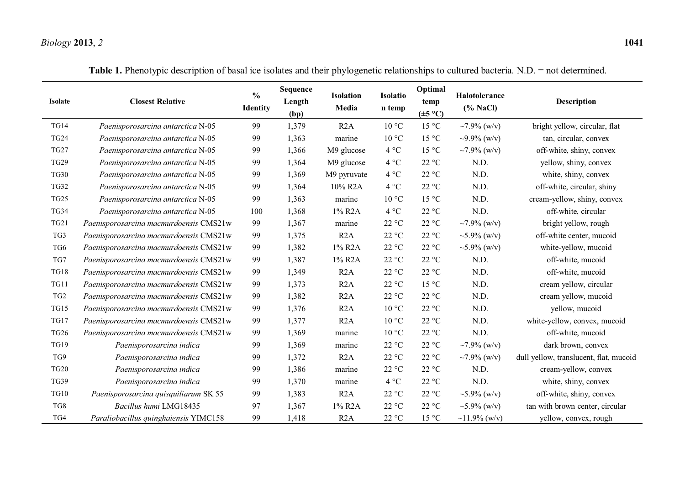# *Biology* **2013**, *2* **1041**

| <b>Isolate</b>  | <b>Closest Relative</b>                | $\frac{0}{0}$<br><b>Identity</b> | Sequence<br>Length<br>(bp) | <b>Isolation</b><br>Media | Isolatio<br>n temp       | Optimal<br>temp<br>$(\pm 5 \degree C)$ | Halotolerance<br>(% NaCl) | <b>Description</b>                     |
|-----------------|----------------------------------------|----------------------------------|----------------------------|---------------------------|--------------------------|----------------------------------------|---------------------------|----------------------------------------|
| <b>TG14</b>     | Paenisporosarcina antarctica N-05      | 99                               | 1,379                      | R <sub>2</sub> A          | $10\,^{\circ}\mathrm{C}$ | 15 °C                                  | $~1.9\%$ (w/v)            | bright yellow, circular, flat          |
| <b>TG24</b>     | Paenisporosarcina antarctica N-05      | 99                               | 1,363                      | marine                    | 10 °C                    | 15 °C                                  | $\sim$ 9.9% (w/v)         | tan, circular, convex                  |
| TG27            | Paenisporosarcina antarctica N-05      | 99                               | 1,366                      | M9 glucose                | 4 °C                     | 15 °C                                  | $\sim 7.9\%$ (w/v)        | off-white, shiny, convex               |
| <b>TG29</b>     | Paenisporosarcina antarctica N-05      | 99                               | 1,364                      | M9 glucose                | 4 °C                     | 22 °C                                  | N.D.                      | yellow, shiny, convex                  |
| <b>TG30</b>     | Paenisporosarcina antarctica N-05      | 99                               | 1,369                      | M9 pyruvate               | 4 °C                     | 22 °C                                  | N.D.                      | white, shiny, convex                   |
| <b>TG32</b>     | Paenisporosarcina antarctica N-05      | 99                               | 1,364                      | 10% R <sub>2</sub> A      | 4 °C                     | 22 °C                                  | N.D.                      | off-white, circular, shiny             |
| <b>TG25</b>     | Paenisporosarcina antarctica N-05      | 99                               | 1,363                      | marine                    | 10 °C                    | 15 °C                                  | N.D.                      | cream-yellow, shiny, convex            |
| TG34            | Paenisporosarcina antarctica N-05      | 100                              | 1,368                      | 1% R <sub>2</sub> A       | 4 °C                     | 22 °C                                  | N.D.                      | off-white, circular                    |
| <b>TG21</b>     | Paenisporosarcina macmurdoensis CMS21w | 99                               | 1,367                      | marine                    | $22\text{ °C}$           | $22~^{\circ}\mathrm{C}$                | $\sim 7.9\%$ (w/v)        | bright yellow, rough                   |
| TG3             | Paenisporosarcina macmurdoensis CMS21w | 99                               | 1,375                      | R <sub>2</sub> A          | 22 °C                    | $22~^{\circ}\mathrm{C}$                | $\sim$ 5.9% (w/v)         | off-white center, mucoid               |
| TG6             | Paenisporosarcina macmurdoensis CMS21w | 99                               | 1,382                      | 1% R <sub>2</sub> A       | 22 °C                    | 22 °C                                  | $\sim$ 5.9% (w/v)         | white-yellow, mucoid                   |
| TG7             | Paenisporosarcina macmurdoensis CMS21w | 99                               | 1,387                      | 1% R2A                    | 22 °C                    | $22\ ^{\circ}\textrm{C}$               | N.D.                      | off-white, mucoid                      |
| <b>TG18</b>     | Paenisporosarcina macmurdoensis CMS21w | 99                               | 1,349                      | R2A                       | 22 °C                    | 22 °C                                  | N.D.                      | off-white, mucoid                      |
| TG11            | Paenisporosarcina macmurdoensis CMS21w | 99                               | 1,373                      | R2A                       | 22 °C                    | 15 °C                                  | N.D.                      | cream yellow, circular                 |
| TG <sub>2</sub> | Paenisporosarcina macmurdoensis CMS21w | 99                               | 1,382                      | R2A                       | 22 °C                    | $22\ ^{\circ}\textrm{C}$               | N.D.                      | cream yellow, mucoid                   |
| <b>TG15</b>     | Paenisporosarcina macmurdoensis CMS21w | 99                               | 1,376                      | R <sub>2</sub> A          | $10^{\circ}$ C           | 22 °C                                  | N.D.                      | yellow, mucoid                         |
| <b>TG17</b>     | Paenisporosarcina macmurdoensis CMS21w | 99                               | 1,377                      | R2A                       | 10 °C                    | 22 °C                                  | N.D.                      | white-yellow, convex, mucoid           |
| <b>TG26</b>     | Paenisporosarcina macmurdoensis CMS21w | 99                               | 1,369                      | marine                    | $10^{\circ}$ C           | $22~^\circ\mathrm{C}$                  | N.D.                      | off-white, mucoid                      |
| <b>TG19</b>     | Paenisporosarcina indica               | 99                               | 1,369                      | marine                    | 22 °C                    | 22 °C                                  | ~7.9% (w/v)               | dark brown, convex                     |
| TG9             | Paenisporosarcina indica               | 99                               | 1,372                      | R2A                       | 22 °C                    | 22 °C                                  | $\sim 7.9\%$ (w/v)        | dull yellow, translucent, flat, mucoid |
| <b>TG20</b>     | Paenisporosarcina indica               | 99                               | 1,386                      | marine                    | 22 °C                    | 22 °C                                  | N.D.                      | cream-yellow, convex                   |
| <b>TG39</b>     | Paenisporosarcina indica               | 99                               | 1,370                      | marine                    | 4 °C                     | 22 °C                                  | N.D.                      | white, shiny, convex                   |
| <b>TG10</b>     | Paenisporosarcina quisquiliarum SK 55  | 99                               | 1,383                      | R2A                       | 22 °C                    | 22 °C                                  | $\sim$ 5.9% (w/v)         | off-white, shiny, convex               |
| TG8             | Bacillus humi LMG18435                 | 97                               | 1,367                      | 1% R2A                    | 22 °C                    | $22\ ^{\circ}\textrm{C}$               | $\sim$ 5.9% (w/v)         | tan with brown center, circular        |
| TG4             | Paraliobacillus quinghaiensis YIMC158  | 99                               | 1,418                      | R <sub>2</sub> A          | 22 °C                    | 15 °C                                  | $\sim$ 11.9% (w/v)        | yellow, convex, rough                  |

**Table 1.** Phenotypic description of basal ice isolates and their phylogenetic relationships to cultured bacteria. N.D. = not determined.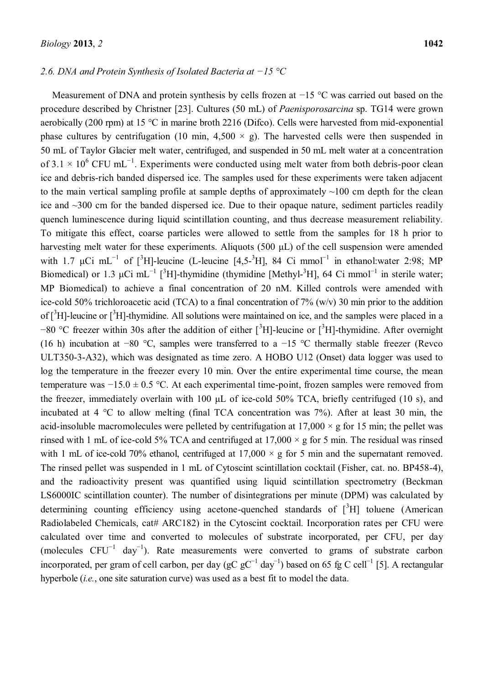#### 2.6. DNA and Protein Synthesis of Isolated Bacteria at  $-15$  °C

Measurement of DNA and protein synthesis by cells frozen at  $-15$  °C was carried out based on the procedure described by Christner [23]. Cultures (50 mL) of *Paenisporosarcina* sp. TG14 were grown aerobically (200 rpm) at 15 °C in marine broth 2216 (Difco). Cells were harvested from mid-exponential phase cultures by centrifugation (10 min, 4,500  $\times$  g). The harvested cells were then suspended in 50 mL of Taylor Glacier melt water, centrifuged, and suspended in 50 mL melt water at a concentration of 3.1  $\times$  10<sup>6</sup> CFU mL<sup>-1</sup>. Experiments were conducted using melt water from both debris-poor clean ice and debris-rich banded dispersed ice. The samples used for these experiments were taken adjacent to the main vertical sampling profile at sample depths of approximately  $\sim$ 100 cm depth for the clean ice and ~300 cm for the banded dispersed ice. Due to their opaque nature, sediment particles readily quench luminescence during liquid scintillation counting, and thus decrease measurement reliability. To mitigate this effect, coarse particles were allowed to settle from the samples for 18 h prior to harvesting melt water for these experiments. Aliquots (500 µL) of the cell suspension were amended with 1.7  $\mu$ Ci mL<sup>-1</sup> of [<sup>3</sup>H]-leucine (L-leucine [4,5-<sup>3</sup>H], 84 Ci mmol<sup>-1</sup> in ethanol:water 2:98; MP Biomedical) or 1.3  $\mu$ Ci mL<sup>-1</sup> [<sup>3</sup>H]-thymidine (thymidine [Methyl-<sup>3</sup>H], 64 Ci mmol<sup>-1</sup> in sterile water; MP Biomedical) to achieve a final concentration of 20 nM. Killed controls were amended with ice-cold 50% trichloroacetic acid (TCA) to a final concentration of 7% (w/v) 30 min prior to the addition of [<sup>3</sup>H]-leucine or [<sup>3</sup>H]-thymidine. All solutions were maintained on ice, and the samples were placed in a  $-80$  °C freezer within 30s after the addition of either  $[^{3}H]$ -leucine or  $[^{3}H]$ -thymidine. After overnight (16 h) incubation at -80 °C, samples were transferred to a -15 °C thermally stable freezer (Revco ULT350-3-A32), which was designated as time zero. A HOBO U12 (Onset) data logger was used to log the temperature in the freezer every 10 min. Over the entire experimental time course, the mean temperature was  $-15.0 \pm 0.5$  °C. At each experimental time-point, frozen samples were removed from the freezer, immediately overlain with 100  $\mu$ L of ice-cold 50% TCA, briefly centrifuged (10 s), and incubated at 4 °C to allow melting (final TCA concentration was 7%). After at least 30 min, the acid-insoluble macromolecules were pelleted by centrifugation at  $17,000 \times g$  for 15 min; the pellet was rinsed with 1 mL of ice-cold 5% TCA and centrifuged at  $17,000 \times g$  for 5 min. The residual was rinsed with 1 mL of ice-cold 70% ethanol, centrifuged at  $17,000 \times g$  for 5 min and the supernatant removed. The rinsed pellet was suspended in 1 mL of Cytoscint scintillation cocktail (Fisher, cat. no. BP458-4), and the radioactivity present was quantified using liquid scintillation spectrometry (Beckman LS6000IC scintillation counter). The number of disintegrations per minute (DPM) was calculated by determining counting efficiency using acetone-quenched standards of  $[^{3}H]$  toluene (American Radiolabeled Chemicals, cat# ARC182) in the Cytoscint cocktail. Incorporation rates per CFU were calculated over time and converted to molecules of substrate incorporated, per CFU, per day (molecules  $CFU^{-1}$  day<sup>-1</sup>). Rate measurements were converted to grams of substrate carbon incorporated, per gram of cell carbon, per day ( $gC gC^{-1}$  day<sup>-1</sup>) based on 65 fg C cell<sup>-1</sup> [5]. A rectangular hyperbole (*i.e.*, one site saturation curve) was used as a best fit to model the data.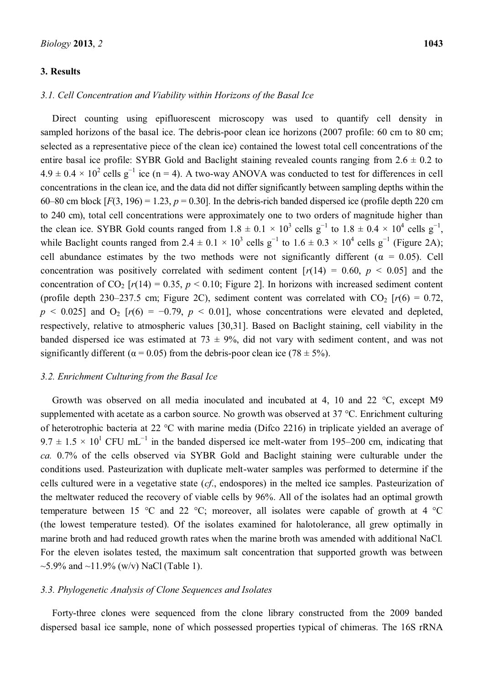#### **3. Results**

sampled horizons of the basal ice. The debris-poor clean ice horizons (2007 profile: 60 cm to 80 cm; selected as a representative piece of the clean ice) contained the lowest total cell concentrations of the entire basal ice profile: SYBR Gold and Baclight staining revealed counts ranging from  $2.6 \pm 0.2$  to  $4.9 \pm 0.4 \times 10^2$  cells g<sup>-1</sup> ice (n = 4). A two-way ANOVA was conducted to test for differences in cell concentrations in the clean ice, and the data did not differ significantly between sampling depths within the 60–80 cm block  $[F(3, 196) = 1.23, p = 0.30]$ . In the debris-rich banded dispersed ice (profile depth 220 cm to 240 cm), total cell concentrations were approximately one to two orders of magnitude higher than the clean ice. SYBR Gold counts ranged from  $1.8 \pm 0.1 \times 10^3$  cells g<sup>-1</sup> to  $1.8 \pm 0.4 \times 10^4$  cells g<sup>-1</sup>, while Baclight counts ranged from 2.4  $\pm$  0.1  $\times$  10<sup>3</sup> cells g<sup>-1</sup> to 1.6  $\pm$  0.3  $\times$  10<sup>4</sup> cells g<sup>-1</sup> (Figure 2A); cell abundance estimates by the two methods were not significantly different ( $\alpha = 0.05$ ). Cell concentration was positively correlated with sediment content  $[r(14) = 0.60, p < 0.05]$  and the concentration of  $CO_2$  [ $r(14) = 0.35$ ,  $p < 0.10$ ; Figure 2]. In horizons with increased sediment content (profile depth 230–237.5 cm; Figure 2C), sediment content was correlated with  $CO_2$  [ $r(6) = 0.72$ ,  $p \le 0.025$ ] and  $O_2$  [ $r(6) = -0.79$ ,  $p \le 0.01$ ], whose concentrations were elevated and depleted, respectively, relative to atmospheric values [30,31]. Based on Baclight staining, cell viability in the banded dispersed ice was estimated at  $73 \pm 9\%$ , did not vary with sediment content, and was not significantly different ( $\alpha$  = 0.05) from the debris-poor clean ice (78 ± 5%).

#### *3.2. Enrichment Culturing from the Basal Ice*

Growth was observed on all media inoculated and incubated at 4, 10 and 22 °C, except M9 supplemented with acetate as a carbon source. No growth was observed at 37 °C. Enrichment culturing of heterotrophic bacteria at 22 °C with marine media (Difco 2216) in triplicate yielded an average of  $9.7 \pm 1.5 \times 10^{1}$  CFU mL<sup>-1</sup> in the banded dispersed ice melt-water from 195–200 cm, indicating that *ca.* 0.7% of the cells observed via SYBR Gold and Baclight staining were culturable under the conditions used. Pasteurization with duplicate melt-water samples was performed to determine if the cells cultured were in a vegetative state (*cf*., endospores) in the melted ice samples. Pasteurization of the meltwater reduced the recovery of viable cells by 96%. All of the isolates had an optimal growth temperature between 15 °C and 22 °C; moreover, all isolates were capable of growth at 4 °C (the lowest temperature tested). Of the isolates examined for halotolerance, all grew optimally in marine broth and had reduced growth rates when the marine broth was amended with additional NaCl. For the eleven isolates tested, the maximum salt concentration that supported growth was between ~5.9% and ~11.9% (w/v) NaCl (Table 1).

### *3.3. Phylogenetic Analysis of Clone Sequences and Isolates*

Forty-three clones were sequenced from the clone library constructed from the 2009 banded dispersed basal ice sample, none of which possessed properties typical of chimeras. The 16S rRNA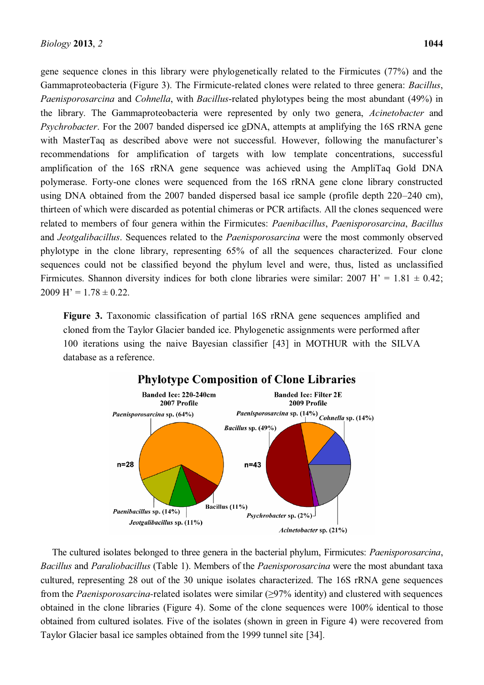gene sequence clones in this library were phylogenetically related to the Firmicutes (77%) and the Gammaproteobacteria (Figure 3). The Firmicute-related clones were related to three genera: *Bacillus*, *Paenisporosarcina* and *Cohnella*, with *Bacillus*-related phylotypes being the most abundant (49%) in the library. The Gammaproteobacteria were represented by only two genera, *Acinetobacter* and *Psychrobacter*. For the 2007 banded dispersed ice gDNA, attempts at amplifying the 16S rRNA gene with MasterTaq as described above were not successful. However, following the manufacturer's recommendations for amplification of targets with low template concentrations, successful amplification of the 16S rRNA gene sequence was achieved using the AmpliTaq Gold DNA polymerase. Forty-one clones were sequenced from the 16S rRNA gene clone library constructed using DNA obtained from the 2007 banded dispersed basal ice sample (profile depth  $220-240$  cm), thirteen of which were discarded as potential chimeras or PCR artifacts. All the clones sequenced were related to members of four genera within the Firmicutes: *Paenibacillus*, *Paenisporosarcina*, *Bacillus*  and *Jeotgalibacillus*. Sequences related to the *Paenisporosarcina* were the most commonly observed phylotype in the clone library, representing 65% of all the sequences characterized. Four clone sequences could not be classified beyond the phylum level and were, thus, listed as unclassified Firmicutes. Shannon diversity indices for both clone libraries were similar:  $2007 \text{ H} = 1.81 \pm 0.42$ ;  $2009$  H' =  $1.78 \pm 0.22$ .

**Figure 3.** Taxonomic classification of partial 16S rRNA gene sequences amplified and cloned from the Taylor Glacier banded ice. Phylogenetic assignments were performed after 100 iterations using the naive Bayesian classifier [43] in MOTHUR with the SILVA database as a reference.



The cultured isolates belonged to three genera in the bacterial phylum, Firmicutes: *Paenisporosarcina*, *Bacillus* and *Paraliobacillus* (Table 1). Members of the *Paenisporosarcina* were the most abundant taxa cultured, representing 28 out of the 30 unique isolates characterized. The 16S rRNA gene sequences from the *Paenisporosarcina*-related isolates were similar (>97% identity) and clustered with sequences obtained in the clone libraries (Figure 4). Some of the clone sequences were 100% identical to those obtained from cultured isolates. Five of the isolates (shown in green in Figure 4) were recovered from Taylor Glacier basal ice samples obtained from the 1999 tunnel site [34].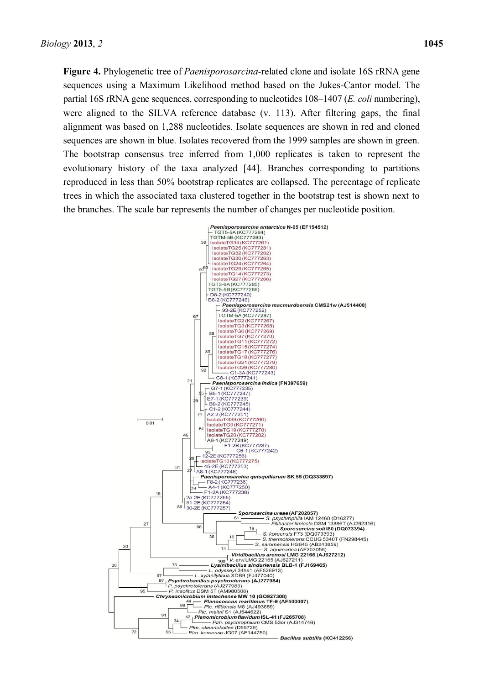**Figure 4.** Phylogenetic tree of *Paenisporosarcina*-related clone and isolate 16S rRNA gene sequences using a Maximum Likelihood method based on the Jukes-Cantor model. The partial 16S rRNA gene sequences, corresponding to nucleotides 108–1407 (*E. coli* numbering), were aligned to the SILVA reference database (v. 113). After filtering gaps, the final alignment was based on 1,288 nucleotides. Isolate sequences are shown in red and cloned sequences are shown in blue. Isolates recovered from the 1999 samples are shown in green. The bootstrap consensus tree inferred from 1,000 replicates is taken to represent the evolutionary history of the taxa analyzed [44]. Branches corresponding to partitions reproduced in less than 50% bootstrap replicates are collapsed. The percentage of replicate trees in which the associated taxa clustered together in the bootstrap test is shown next to the branches. The scale bar represents the number of changes per nucleotide position.

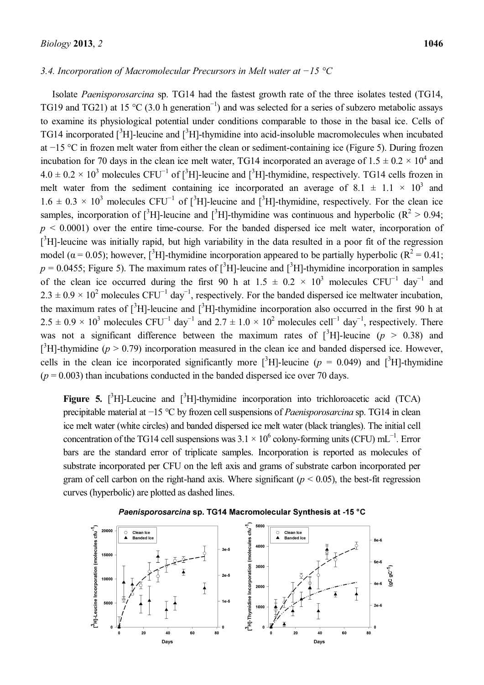#### *3.4. Incorporation of Macromolecular Precursors in Melt water at*  $-15$  *°C*

Isolate *Paenisporosarcina* sp. TG14 had the fastest growth rate of the three isolates tested (TG14, TG19 and TG21) at 15 °C (3.0 h generation<sup>-1</sup>) and was selected for a series of subzero metabolic assays to examine its physiological potential under conditions comparable to those in the basal ice. Cells of TG14 incorporated  $[^{3}H]$ -leucine and  $[^{3}H]$ -thymidine into acid-insoluble macromolecules when incubated at  $-15$  °C in frozen melt water from either the clean or sediment-containing ice (Figure 5). During frozen incubation for 70 days in the clean ice melt water, TG14 incorporated an average of  $1.5 \pm 0.2 \times 10^4$  and  $4.0 \pm 0.2 \times 10^3$  molecules CFU<sup>-1</sup> of [<sup>3</sup>H]-leucine and [<sup>3</sup>H]-thymidine, respectively. TG14 cells frozen in melt water from the sediment containing ice incorporated an average of 8.1  $\pm$  1.1  $\times$  10<sup>3</sup> and  $1.6 \pm 0.3 \times 10^3$  molecules CFU<sup>-1</sup> of [<sup>3</sup>H]-leucine and [<sup>3</sup>H]-thymidine, respectively. For the clean ice samples, incorporation of  $\binom{3}{1}$ -leucine and  $\binom{3}{1}$ -thymidine was continuous and hyperbolic ( $\mathbb{R}^2 > 0.94$ ;  $p \leq 0.0001$ ) over the entire time-course. For the banded dispersed ice melt water, incorporation of  $[^3H]$ -leucine was initially rapid, but high variability in the data resulted in a poor fit of the regression model ( $\alpha$  = 0.05); however, [<sup>3</sup>H]-thymidine incorporation appeared to be partially hyperbolic ( $R^2$  = 0.41;  $p = 0.0455$ ; Figure 5). The maximum rates of [<sup>3</sup>H]-leucine and [<sup>3</sup>H]-thymidine incorporation in samples of the clean ice occurred during the first 90 h at  $1.5 \pm 0.2 \times 10^3$  molecules CFU<sup>-1</sup> day<sup>-1</sup> and  $2.3 \pm 0.9 \times 10^2$  molecules CFU<sup>-1</sup> day<sup>-1</sup>, respectively. For the banded dispersed ice meltwater incubation, the maximum rates of  $[^{3}H]$ -leucine and  $[^{3}H]$ -thymidine incorporation also occurred in the first 90 h at  $2.5 \pm 0.9 \times 10^3$  molecules CFU<sup>-1</sup> day<sup>-1</sup> and  $2.7 \pm 1.0 \times 10^2$  molecules cell<sup>-1</sup> day<sup>-1</sup>, respectively. There was not a significant difference between the maximum rates of  $[^{3}H]$ -leucine ( $p > 0.38$ ) and [ ${}^{3}$ H]-thymidine ( $p > 0.79$ ) incorporation measured in the clean ice and banded dispersed ice. However, cells in the clean ice incorporated significantly more  $[^3H]$ -leucine ( $p = 0.049$ ) and  $[^3H]$ -thymidine  $(p = 0.003)$  than incubations conducted in the banded dispersed ice over 70 days.

**Figure 5.** [ ${}^{3}$ H]-Leucine and [ ${}^{3}$ H]-thymidine incorporation into trichloroacetic acid (TCA) precipitable material at  $-15$  °C by frozen cell suspensions of *Paenisporosarcina* sp. TG14 in clean ice melt water (white circles) and banded dispersed ice melt water (black triangles). The initial cell concentration of the TG14 cell suspensions was  $3.1 \times 10^6$  colony-forming units (CFU) mL<sup>-1</sup>. Error bars are the standard error of triplicate samples. Incorporation is reported as molecules of substrate incorporated per CFU on the left axis and grams of substrate carbon incorporated per gram of cell carbon on the right-hand axis. Where significant  $(p < 0.05)$ , the best-fit regression curves (hyperbolic) are plotted as dashed lines.



## Paenisporosarcina sp. TG14 Macromolecular Synthesis at -15 °C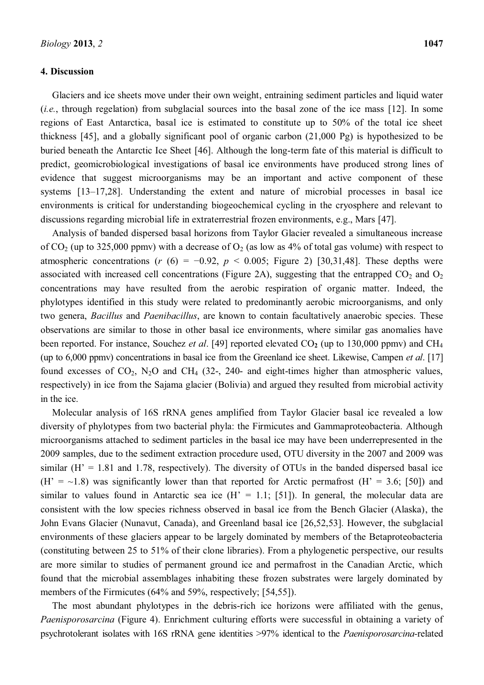#### **4. Discussion**

Glaciers and ice sheets move under their own weight, entraining sediment particles and liquid water (*i.e.*, through regelation) from subglacial sources into the basal zone of the ice mass [12]. In some regions of East Antarctica, basal ice is estimated to constitute up to 50% of the total ice sheet thickness [45], and a globally significant pool of organic carbon (21,000 Pg) is hypothesized to be buried beneath the Antarctic Ice Sheet [46]. Although the long-term fate of this material is difficult to predict, geomicrobiological investigations of basal ice environments have produced strong lines of evidence that suggest microorganisms may be an important and active component of these systems  $[13-17,28]$ . Understanding the extent and nature of microbial processes in basal ice environments is critical for understanding biogeochemical cycling in the cryosphere and relevant to discussions regarding microbial life in extraterrestrial frozen environments, e.g., Mars [47].

Analysis of banded dispersed basal horizons from Taylor Glacier revealed a simultaneous increase of  $CO_2$  (up to 325,000 ppmv) with a decrease of  $O_2$  (as low as 4% of total gas volume) with respect to atmospheric concentrations ( $r$  (6) = -0.92,  $p$  < 0.005; Figure 2) [30,31,48]. These depths were associated with increased cell concentrations (Figure 2A), suggesting that the entrapped  $CO<sub>2</sub>$  and  $O<sub>2</sub>$ concentrations may have resulted from the aerobic respiration of organic matter. Indeed, the phylotypes identified in this study were related to predominantly aerobic microorganisms, and only two genera, *Bacillus* and *Paenibacillus*, are known to contain facultatively anaerobic species. These observations are similar to those in other basal ice environments, where similar gas anomalies have been reported. For instance, Souchez *et al.* [49] reported elevated CO<sub>2</sub> (up to 130,000 ppmv) and CH<sub>4</sub> (up to 6,000 ppmv) concentrations in basal ice from the Greenland ice sheet. Likewise, Campen *et al*. [17] found excesses of  $CO_2$ ,  $N_2O$  and  $CH_4$  (32-, 240- and eight-times higher than atmospheric values, respectively) in ice from the Sajama glacier (Bolivia) and argued they resulted from microbial activity in the ice.

Molecular analysis of 16S rRNA genes amplified from Taylor Glacier basal ice revealed a low diversity of phylotypes from two bacterial phyla: the Firmicutes and Gammaproteobacteria. Although microorganisms attached to sediment particles in the basal ice may have been underrepresented in the 2009 samples, due to the sediment extraction procedure used, OTU diversity in the 2007 and 2009 was similar  $(H' = 1.81$  and 1.78, respectively). The diversity of OTUs in the banded dispersed basal ice  $(H' = ~1.8)$  was significantly lower than that reported for Arctic permafrost  $(H' = 3.6; [50])$  and similar to values found in Antarctic sea ice  $(H' = 1.1; [51])$ . In general, the molecular data are consistent with the low species richness observed in basal ice from the Bench Glacier (Alaska), the John Evans Glacier (Nunavut, Canada), and Greenland basal ice [26,52,53]. However, the subglacial environments of these glaciers appear to be largely dominated by members of the Betaproteobacteria (constituting between 25 to 51% of their clone libraries). From a phylogenetic perspective, our results are more similar to studies of permanent ground ice and permafrost in the Canadian Arctic, which found that the microbial assemblages inhabiting these frozen substrates were largely dominated by members of the Firmicutes (64% and 59%, respectively; [54,55]).

The most abundant phylotypes in the debris-rich ice horizons were affiliated with the genus, *Paenisporosarcina* (Figure 4). Enrichment culturing efforts were successful in obtaining a variety of psychrotolerant isolates with 16S rRNA gene identities >97% identical to the *Paenisporosarcina-*related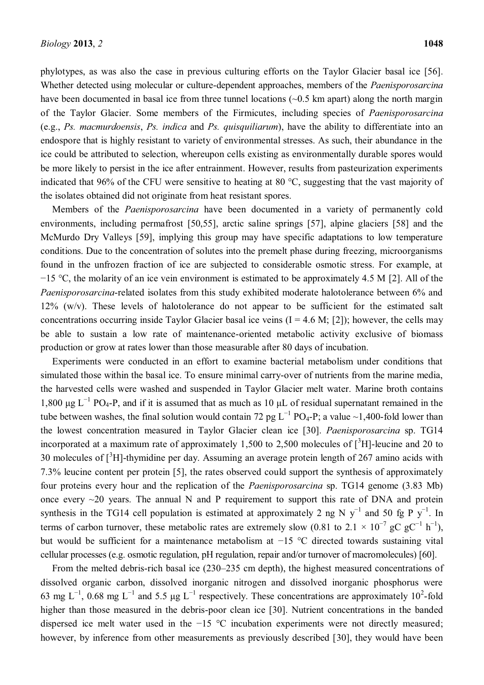phylotypes, as was also the case in previous culturing efforts on the Taylor Glacier basal ice [56]. Whether detected using molecular or culture-dependent approaches, members of the *Paenisporosarcina* have been documented in basal ice from three tunnel locations ( $\sim 0.5$  km apart) along the north margin of the Taylor Glacier. Some members of the Firmicutes, including species of *Paenisporosarcina*  (e.g., *Ps. macmurdoensis*, *Ps. indica* and *Ps. quisquiliarum*), have the ability to differentiate into an endospore that is highly resistant to variety of environmental stresses. As such, their abundance in the ice could be attributed to selection, whereupon cells existing as environmentally durable spores would be more likely to persist in the ice after entrainment. However, results from pasteurization experiments indicated that 96% of the CFU were sensitive to heating at 80 °C, suggesting that the vast majority of the isolates obtained did not originate from heat resistant spores.

Members of the *Paenisporosarcina* have been documented in a variety of permanently cold environments, including permafrost [50,55], arctic saline springs [57], alpine glaciers [58] and the McMurdo Dry Valleys [59], implying this group may have specific adaptations to low temperature conditions. Due to the concentration of solutes into the premelt phase during freezing, microorganisms found in the unfrozen fraction of ice are subjected to considerable osmotic stress. For example, at  $-15$  °C, the molarity of an ice vein environment is estimated to be approximately 4.5 M [2]. All of the *Paenisporosarcina*-related isolates from this study exhibited moderate halotolerance between 6% and 12% (w/v). These levels of halotolerance do not appear to be sufficient for the estimated salt concentrations occurring inside Taylor Glacier basal ice veins  $(I = 4.6 M; [2])$ ; however, the cells may be able to sustain a low rate of maintenance-oriented metabolic activity exclusive of biomass production or grow at rates lower than those measurable after 80 days of incubation.

Experiments were conducted in an effort to examine bacterial metabolism under conditions that simulated those within the basal ice. To ensure minimal carry-over of nutrients from the marine media, the harvested cells were washed and suspended in Taylor Glacier melt water. Marine broth contains 1,800  $\mu$ g L<sup>-1</sup> PO<sub>4</sub>-P, and if it is assumed that as much as 10  $\mu$ L of residual supernatant remained in the tube between washes, the final solution would contain 72 pg  $L^{-1}$  PO<sub>4</sub>-P; a value ~1,400-fold lower than the lowest concentration measured in Taylor Glacier clean ice [30]. *Paenisporosarcina* sp. TG14 incorporated at a maximum rate of approximately 1,500 to 2,500 molecules of  $[^{3}H]$ -leucine and 20 to 30 molecules of  $[^{3}H]$ -thymidine per day. Assuming an average protein length of 267 amino acids with 7.3% leucine content per protein [5], the rates observed could support the synthesis of approximately four proteins every hour and the replication of the *Paenisporosarcina* sp. TG14 genome (3.83 Mb) once every  $\sim$ 20 years. The annual N and P requirement to support this rate of DNA and protein synthesis in the TG14 cell population is estimated at approximately 2 ng N  $y^{-1}$  and 50 fg P  $y^{-1}$ . In terms of carbon turnover, these metabolic rates are extremely slow (0.81 to 2.1  $\times$  10<sup>-7</sup> gC gC<sup>-1</sup> h<sup>-1</sup>), but would be sufficient for a maintenance metabolism at  $-15$  °C directed towards sustaining vital cellular processes (e.g. osmotic regulation, pH regulation, repair and/or turnover of macromolecules) [60].

From the melted debris-rich basal ice  $(230-235 \text{ cm } \text{depth})$ , the highest measured concentrations of dissolved organic carbon, dissolved inorganic nitrogen and dissolved inorganic phosphorus were 63 mg L<sup>-1</sup>, 0.68 mg L<sup>-1</sup> and 5.5 µg L<sup>-1</sup> respectively. These concentrations are approximately 10<sup>2</sup>-fold higher than those measured in the debris-poor clean ice [30]. Nutrient concentrations in the banded dispersed ice melt water used in the  $-15$  °C incubation experiments were not directly measured; however, by inference from other measurements as previously described [30], they would have been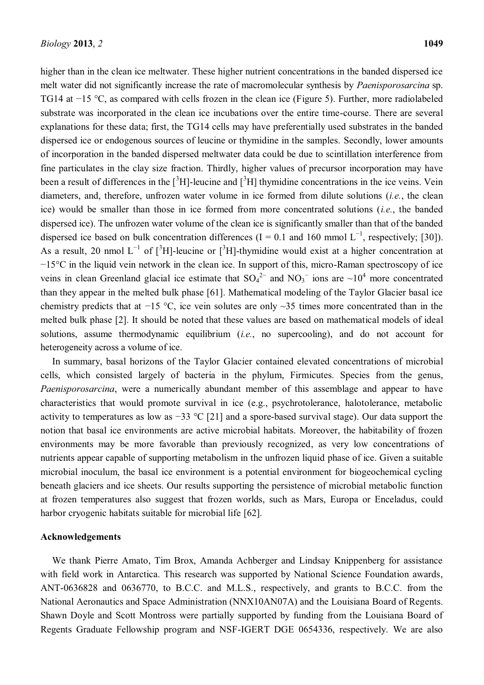higher than in the clean ice meltwater. These higher nutrient concentrations in the banded dispersed ice melt water did not significantly increase the rate of macromolecular synthesis by *Paenisporosarcina* sp. TG14 at  $-15$  °C, as compared with cells frozen in the clean ice (Figure 5). Further, more radiolabeled substrate was incorporated in the clean ice incubations over the entire time-course. There are several explanations for these data; first, the TG14 cells may have preferentially used substrates in the banded dispersed ice or endogenous sources of leucine or thymidine in the samples. Secondly, lower amounts of incorporation in the banded dispersed meltwater data could be due to scintillation interference from fine particulates in the clay size fraction. Thirdly, higher values of precursor incorporation may have been a result of differences in the  $[^3H]$ -leucine and  $[^3H]$  thymidine concentrations in the ice veins. Vein diameters, and, therefore, unfrozen water volume in ice formed from dilute solutions (*i.e.*, the clean ice) would be smaller than those in ice formed from more concentrated solutions (*i.e.*, the banded dispersed ice). The unfrozen water volume of the clean ice is significantly smaller than that of the banded dispersed ice based on bulk concentration differences ( $I = 0.1$  and 160 mmol  $L^{-1}$ , respectively; [30]). As a result, 20 nmol  $L^{-1}$  of  $[^{3}H]$ -leucine or  $[^{3}H]$ -thymidine would exist at a higher concentration at  $-15^{\circ}$ C in the liquid vein network in the clean ice. In support of this, micro-Raman spectroscopy of ice veins in clean Greenland glacial ice estimate that  $SO_4^2$  and  $NO_3^-$  ions are  $\sim 10^4$  more concentrated than they appear in the melted bulk phase [61]. Mathematical modeling of the Taylor Glacier basal ice chemistry predicts that at -15 °C, ice vein solutes are only  $\sim$ 35 times more concentrated than in the melted bulk phase [2]. It should be noted that these values are based on mathematical models of ideal solutions, assume thermodynamic equilibrium (*i.e.*, no supercooling), and do not account for heterogeneity across a volume of ice.

In summary, basal horizons of the Taylor Glacier contained elevated concentrations of microbial cells, which consisted largely of bacteria in the phylum, Firmicutes. Species from the genus, *Paenisporosarcina*, were a numerically abundant member of this assemblage and appear to have characteristics that would promote survival in ice (e.g., psychrotolerance, halotolerance, metabolic activity to temperatures as low as  $-33$  °C [21] and a spore-based survival stage). Our data support the notion that basal ice environments are active microbial habitats. Moreover, the habitability of frozen environments may be more favorable than previously recognized, as very low concentrations of nutrients appear capable of supporting metabolism in the unfrozen liquid phase of ice. Given a suitable microbial inoculum, the basal ice environment is a potential environment for biogeochemical cycling beneath glaciers and ice sheets. Our results supporting the persistence of microbial metabolic function at frozen temperatures also suggest that frozen worlds, such as Mars, Europa or Enceladus, could harbor cryogenic habitats suitable for microbial life [62].

#### **Acknowledgements**

We thank Pierre Amato, Tim Brox, Amanda Achberger and Lindsay Knippenberg for assistance with field work in Antarctica. This research was supported by National Science Foundation awards, ANT-0636828 and 0636770, to B.C.C. and M.L.S., respectively, and grants to B.C.C. from the National Aeronautics and Space Administration (NNX10AN07A) and the Louisiana Board of Regents. Shawn Doyle and Scott Montross were partially supported by funding from the Louisiana Board of Regents Graduate Fellowship program and NSF-IGERT DGE 0654336, respectively. We are also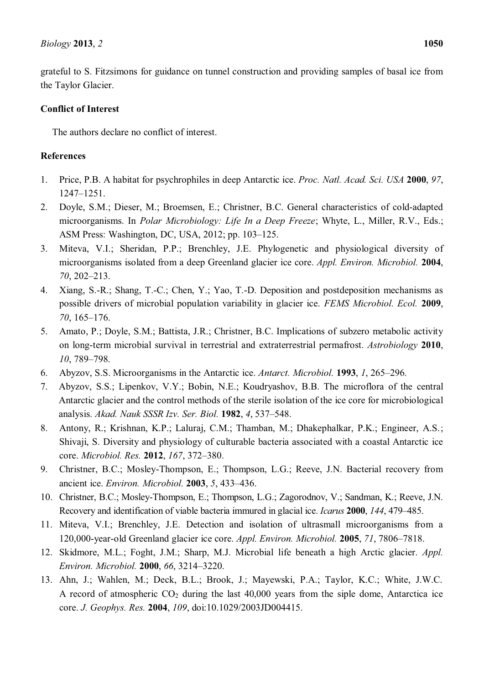grateful to S. Fitzsimons for guidance on tunnel construction and providing samples of basal ice from the Taylor Glacier.

## **Conflict of Interest**

The authors declare no conflict of interest.

# **References**

- 1. Price, P.B. A habitat for psychrophiles in deep Antarctic ice. *Proc. Natl. Acad. Sci. USA* **2000**, *97*, 1247±1251.
- 2. Doyle, S.M.; Dieser, M.; Broemsen, E.; Christner, B.C. General characteristics of cold-adapted microorganisms. In *Polar Microbiology: Life In a Deep Freeze*; Whyte, L., Miller, R.V., Eds.; ASM Press: Washington, DC, USA, 2012; pp. 103-125.
- 3. Miteva, V.I.; Sheridan, P.P.; Brenchley, J.E. Phylogenetic and physiological diversity of microorganisms isolated from a deep Greenland glacier ice core. *Appl. Environ. Microbiol.* **2004**, 70, 202-213.
- 4. Xiang, S.-R.; Shang, T.-C.; Chen, Y.; Yao, T.-D. Deposition and postdeposition mechanisms as possible drivers of microbial population variability in glacier ice. *FEMS Microbiol. Ecol.* **2009**, 70, 165-176.
- 5. Amato, P.; Doyle, S.M.; Battista, J.R.; Christner, B.C. Implications of subzero metabolic activity on long-term microbial survival in terrestrial and extraterrestrial permafrost. *Astrobiology* **2010**, *10*, 789-798.
- 6. Abyzov, S.S. Microorganisms in the Antarctic ice. *Antarct. Microbiol.* **1993**, *1*, 265–296.
- 7. Abyzov, S.S.; Lipenkov, V.Y.; Bobin, N.E.; Koudryashov, B.B. The microflora of the central Antarctic glacier and the control methods of the sterile isolation of the ice core for microbiological analysis. *Akad. Nauk SSSR Izv. Ser. Biol.* **1982**, *4*, 537±548.
- 8. Antony, R.; Krishnan, K.P.; Laluraj, C.M.; Thamban, M.; Dhakephalkar, P.K.; Engineer, A.S.; Shivaji, S. Diversity and physiology of culturable bacteria associated with a coastal Antarctic ice core. *Microbiol. Res.* **2012**, *167*, 372-380.
- 9. Christner, B.C.; Mosley-Thompson, E.; Thompson, L.G.; Reeve, J.N. Bacterial recovery from ancient ice. *Environ. Microbiol.* **2003**, *5*, 433±436.
- 10. Christner, B.C.; Mosley-Thompson, E.; Thompson, L.G.; Zagorodnov, V.; Sandman, K.; Reeve, J.N. Recovery and identification of viable bacteria immured in glacial ice. *Icarus* **2000**, *144*, 479–485.
- 11. Miteva, V.I.; Brenchley, J.E. Detection and isolation of ultrasmall microorganisms from a 120,000-year-old Greenland glacier ice core. *Appl. Environ. Microbiol.* **2005**, 71, 7806–7818.
- 12. Skidmore, M.L.; Foght, J.M.; Sharp, M.J. Microbial life beneath a high Arctic glacier. *Appl. Environ. Microbiol.* **2000**, *66*, 3214±3220.
- 13. Ahn, J.; Wahlen, M.; Deck, B.L.; Brook, J.; Mayewski, P.A.; Taylor, K.C.; White, J.W.C. A record of atmospheric  $CO<sub>2</sub>$  during the last 40,000 years from the siple dome, Antarctica ice core. *J. Geophys. Res.* **2004**, *109*, doi:10.1029/2003JD004415.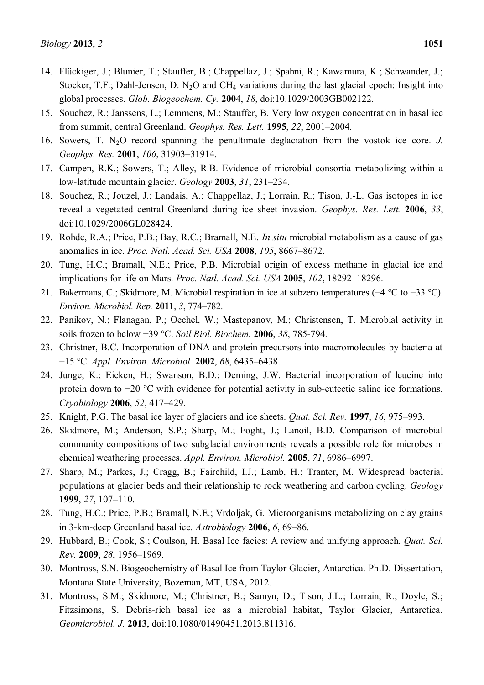- 14. Flückiger, J.; Blunier, T.; Stauffer, B.; Chappellaz, J.; Spahni, R.; Kawamura, K.; Schwander, J.; Stocker, T.F.; Dahl-Jensen, D. N<sub>2</sub>O and CH<sub>4</sub> variations during the last glacial epoch: Insight into global processes. *Glob. Biogeochem. Cy.* **2004**, *18*, doi:10.1029/2003GB002122.
- 15. Souchez, R.; Janssens, L.; Lemmens, M.; Stauffer, B. Very low oxygen concentration in basal ice from summit, central Greenland. *Geophys. Res. Lett.* **1995**, 22, 2001-2004.
- 16. Sowers, T. N2O record spanning the penultimate deglaciation from the vostok ice core. *J. Geophys. Res.* 2001, *106*, 31903-31914.
- 17. Campen, R.K.; Sowers, T.; Alley, R.B. Evidence of microbial consortia metabolizing within a low-latitude mountain glacier. *Geology* **2003**, 31, 231–234.
- 18. Souchez, R.; Jouzel, J.; Landais, A.; Chappellaz, J.; Lorrain, R.; Tison, J.-L. Gas isotopes in ice reveal a vegetated central Greenland during ice sheet invasion. *Geophys. Res. Lett.* **2006**, *33*, doi:10.1029/2006GL028424.
- 19. Rohde, R.A.; Price, P.B.; Bay, R.C.; Bramall, N.E. *In situ* microbial metabolism as a cause of gas anomalies in ice. *Proc. Natl. Acad. Sci. USA* **2008**, 105, 8667–8672.
- 20. Tung, H.C.; Bramall, N.E.; Price, P.B. Microbial origin of excess methane in glacial ice and implications for life on Mars. *Proc. Natl. Acad. Sci. USA* **2005**, *102*, 18292-18296.
- 21. Bakermans, C.; Skidmore, M. Microbial respiration in ice at subzero temperatures  $(-4 \degree C$  to  $-33 \degree C)$ . *Environ. Microbiol. Rep.* 2011, 3, 774-782.
- 22. Panikov, N.; Flanagan, P.; Oechel, W.; Mastepanov, M.; Christensen, T. Microbial activity in soils frozen to below -39 °C. *Soil Biol. Biochem.* **2006**, 38, 785-794.
- 23. Christner, B.C. Incorporation of DNA and protein precursors into macromolecules by bacteria at í15 °C. *Appl. Environ. Microbiol.* **2002**, *68*, 6435±6438.
- 24. Junge, K.; Eicken, H.; Swanson, B.D.; Deming, J.W. Bacterial incorporation of leucine into protein down to  $-20$  °C with evidence for potential activity in sub-eutectic saline ice formations. *Cryobiology* **2006**, *52*, 417±429.
- 25. Knight, P.G. The basal ice layer of glaciers and ice sheets. *Quat. Sci. Rev.* **1997**, *16*, 975–993.
- 26. Skidmore, M.; Anderson, S.P.; Sharp, M.; Foght, J.; Lanoil, B.D. Comparison of microbial community compositions of two subglacial environments reveals a possible role for microbes in chemical weathering processes. *Appl. Environ. Microbiol.* **2005**, 71, 6986–6997.
- 27. Sharp, M.; Parkes, J.; Cragg, B.; Fairchild, I.J.; Lamb, H.; Tranter, M. Widespread bacterial populations at glacier beds and their relationship to rock weathering and carbon cycling. *Geology*  **1999**, 27, 107-110.
- 28. Tung, H.C.; Price, P.B.; Bramall, N.E.; Vrdoljak, G. Microorganisms metabolizing on clay grains in 3-km-deep Greenland basal ice. *Astrobiology* 2006, *6*, 69–86.
- 29. Hubbard, B.; Cook, S.; Coulson, H. Basal Ice facies: A review and unifying approach. *Quat. Sci. Rev.* 2009, 28, 1956-1969.
- 30. Montross, S.N. Biogeochemistry of Basal Ice from Taylor Glacier, Antarctica. Ph.D. Dissertation, Montana State University, Bozeman, MT, USA, 2012.
- 31. Montross, S.M.; Skidmore, M.; Christner, B.; Samyn, D.; Tison, J.L.; Lorrain, R.; Doyle, S.; Fitzsimons, S. Debris-rich basal ice as a microbial habitat, Taylor Glacier, Antarctica. *Geomicrobiol. J.* **2013**, doi:10.1080/01490451.2013.811316.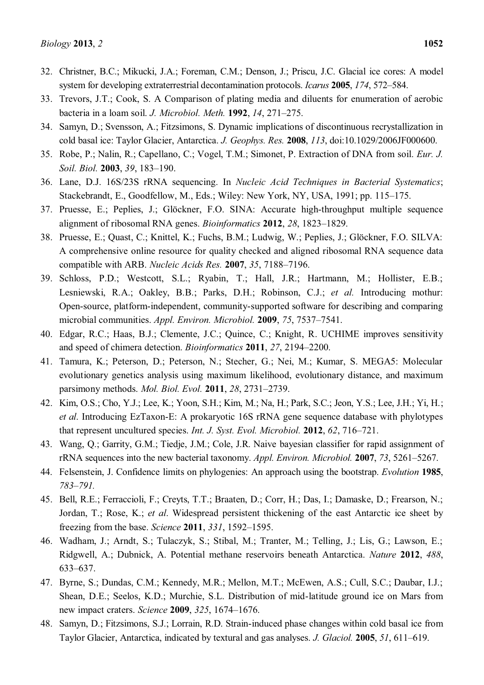- 32. Christner, B.C.; Mikucki, J.A.; Foreman, C.M.; Denson, J.; Priscu, J.C. Glacial ice cores: A model system for developing extraterrestrial decontamination protocols. *Icarus* 2005, 174, 572-584.
- 33. Trevors, J.T.; Cook, S. A Comparison of plating media and diluents for enumeration of aerobic bacteria in a loam soil. *J. Microbiol. Meth.* **1992**, *14*, 271–275.
- 34. Samyn, D.; Svensson, A.; Fitzsimons, S. Dynamic implications of discontinuous recrystallization in cold basal ice: Taylor Glacier, Antarctica. *J. Geophys. Res.* **2008**, *113*, doi:10.1029/2006JF000600.
- 35. Robe, P.; Nalin, R.; Capellano, C.; Vogel, T.M.; Simonet, P. Extraction of DNA from soil. *Eur. J. Soil. Biol.* **2003**, 39, 183-190.
- 36. Lane, D.J. 16S/23S rRNA sequencing. In *Nucleic Acid Techniques in Bacterial Systematics*; Stackebrandt, E., Goodfellow, M., Eds.; Wiley: New York, NY, USA, 1991; pp. 115–175.
- 37. Pruesse, E.; Peplies, J.; Glöckner, F.O. SINA: Accurate high-throughput multiple sequence alignment of ribosomal RNA genes. *Bioinformatics* **2012**, 28, 1823–1829.
- 38. Pruesse, E.; Quast, C.; Knittel, K.; Fuchs, B.M.; Ludwig, W.; Peplies, J.; Glöckner, F.O. SILVA: A comprehensive online resource for quality checked and aligned ribosomal RNA sequence data compatible with ARB. *Nucleic Acids Res.* **2007**, 35, 7188-7196.
- 39. Schloss, P.D.; Westcott, S.L.; Ryabin, T.; Hall, J.R.; Hartmann, M.; Hollister, E.B.; Lesniewski, R.A.; Oakley, B.B.; Parks, D.H.; Robinson, C.J.; *et al.* Introducing mothur: Open-source, platform-independent, community-supported software for describing and comparing microbial communities. *Appl. Environ. Microbiol.* **2009**, 75, 7537-7541.
- 40. Edgar, R.C.; Haas, B.J.; Clemente, J.C.; Quince, C.; Knight, R. UCHIME improves sensitivity and speed of chimera detection. *Bioinformatics* **2011**, 27, 2194-2200.
- 41. Tamura, K.; Peterson, D.; Peterson, N.; Stecher, G.; Nei, M.; Kumar, S. MEGA5: Molecular evolutionary genetics analysis using maximum likelihood, evolutionary distance, and maximum parsimony methods. *Mol. Biol. Evol.* **2011**, 28, 2731–2739.
- 42. Kim, O.S.; Cho, Y.J.; Lee, K.; Yoon, S.H.; Kim, M.; Na, H.; Park, S.C.; Jeon, Y.S.; Lee, J.H.; Yi, H.; *et al*. Introducing EzTaxon-E: A prokaryotic 16S rRNA gene sequence database with phylotypes that represent uncultured species. *Int. J. Syst. Evol. Microbiol.* **2012**, *62*, 716-721.
- 43. Wang, Q.; Garrity, G.M.; Tiedje, J.M.; Cole, J.R. Naive bayesian classifier for rapid assignment of rRNA sequences into the new bacterial taxonomy. *Appl. Environ. Microbiol.* **2007**, 73, 5261–5267.
- 44. Felsenstein, J. Confidence limits on phylogenies: An approach using the bootstrap. *Evolution* **1985**, *783±791.*
- 45. Bell, R.E.; Ferraccioli, F.; Creyts, T.T.; Braaten, D.; Corr, H.; Das, I.; Damaske, D.; Frearson, N.; Jordan, T.; Rose, K.; *et al*. Widespread persistent thickening of the east Antarctic ice sheet by freezing from the base. *Science* **2011**, 331, 1592-1595.
- 46. Wadham, J.; Arndt, S.; Tulaczyk, S.; Stibal, M.; Tranter, M.; Telling, J.; Lis, G.; Lawson, E.; Ridgwell, A.; Dubnick, A. Potential methane reservoirs beneath Antarctica. *Nature* **2012**, *488*, 633±637.
- 47. Byrne, S.; Dundas, C.M.; Kennedy, M.R.; Mellon, M.T.; McEwen, A.S.; Cull, S.C.; Daubar, I.J.; Shean, D.E.; Seelos, K.D.; Murchie, S.L. Distribution of mid-latitude ground ice on Mars from new impact craters. *Science* **2009**, 325, 1674-1676.
- 48. Samyn, D.; Fitzsimons, S.J.; Lorrain, R.D. Strain-induced phase changes within cold basal ice from Taylor Glacier, Antarctica, indicated by textural and gas analyses. *J. Glaciol.* **2005**, 51, 611–619.